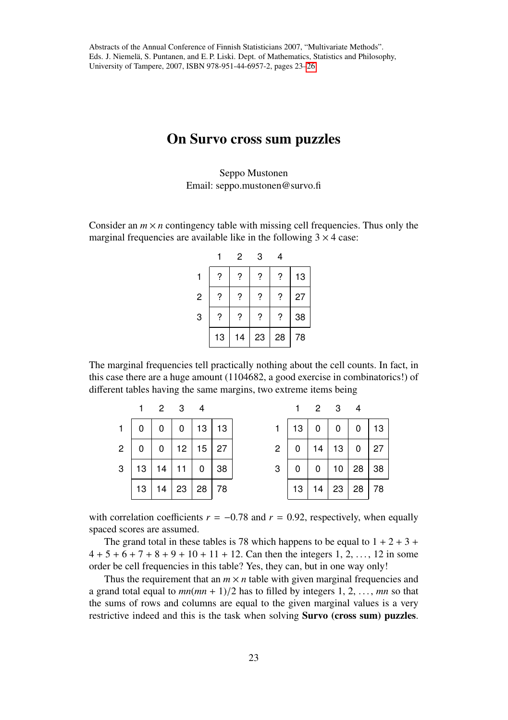## On Survo cross sum puzzles

Seppo Mustonen Email: seppo.mustonen@survo.fi

Consider an  $m \times n$  contingency table with missing cell frequencies. Thus only the marginal frequencies are available like in the following  $3 \times 4$  case:

|                |    | 2  | 3  | 4  |    |
|----------------|----|----|----|----|----|
| 1              | ?  | ?  | ?  | ?  | 13 |
| $\overline{c}$ | ?  | ?  | ?  | ?  | 27 |
| 3              | ?  | ?  | ?  | ?  | 38 |
|                | 13 | 14 | 23 | 28 | 78 |

The marginal frequencies tell practically nothing about the cell counts. In fact, in this case there are a huge amount (1104682, a good exercise in combinatorics!) of different tables having the same margins, two extreme items being

|              |                | 2 3 4        |    |                      |             |                |    |                 | 2 3 4 |           |     |
|--------------|----------------|--------------|----|----------------------|-------------|----------------|----|-----------------|-------|-----------|-----|
|              | 0 <sup>1</sup> | $\mathbf{0}$ |    | $0 \mid 13 \mid 13$  |             |                | 13 | 0               |       | 0 0       | 13  |
| $\mathbf{2}$ | 0              | 0            |    | $12 \mid 15 \mid 27$ |             | $\overline{2}$ | 0  | 14 <sup>1</sup> | 13    | $\pmb{0}$ | 27  |
| $\mathbf{3}$ | 13             | 14           | 11 |                      | $0 \mid 38$ | 3              |    | $\overline{0}$  | 10    | $28$ 38   |     |
|              | 13             | 14           |    | $23 \mid 28 \mid 78$ |             |                | 13 | 14              | 23    | 28        | -78 |

with correlation coefficients  $r = -0.78$  and  $r = 0.92$ , respectively, when equally spaced scores are assumed.

The grand total in these tables is 78 which happens to be equal to  $1 + 2 + 3 + 1$  $4 + 5 + 6 + 7 + 8 + 9 + 10 + 11 + 12$ . Can then the integers 1, 2, ..., 12 in some order be cell frequencies in this table? Yes, they can, but in one way only!

Thus the requirement that an  $m \times n$  table with given marginal frequencies and a grand total equal to  $mn(mn + 1)/2$  has to filled by integers 1, 2, ..., *mn* so that the sums of rows and columns are equal to the given marginal values is a very restrictive indeed and this is the task when solving Survo (cross sum) puzzles.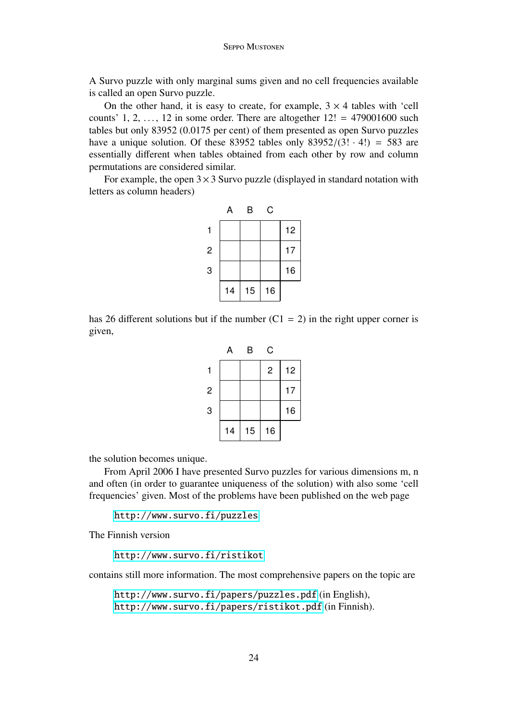A Survo puzzle with only marginal sums given and no cell frequencies available is called an open Survo puzzle.

On the other hand, it is easy to create, for example,  $3 \times 4$  tables with 'cell counts' 1, 2, ..., 12 in some order. There are altogether  $12! = 479001600$  such tables but only 83952 (0.0175 per cent) of them presented as open Survo puzzles have a unique solution. Of these 83952 tables only  $83952/(3! \cdot 4!) = 583$  are essentially different when tables obtained from each other by row and column permutations are considered similar.

For example, the open  $3 \times 3$  Survo puzzle (displayed in standard notation with letters as column headers)

|   | А  | В  | C  |    |
|---|----|----|----|----|
| 1 |    |    |    | 12 |
| 2 |    |    |    | 17 |
| 3 |    |    |    | 16 |
|   | 14 | 15 | 16 |    |

has 26 different solutions but if the number  $(C1 = 2)$  in the right upper corner is given,

|   | А  | В  | C                |    |
|---|----|----|------------------|----|
| 1 |    |    | $\boldsymbol{2}$ | 12 |
| 2 |    |    |                  | 17 |
| 3 |    |    |                  | 16 |
|   | 14 | 15 | 16               |    |

the solution becomes unique.

From April 2006 I have presented Survo puzzles for various dimensions m, n and often (in order to guarantee uniqueness of the solution) with also some 'cell frequencies' given. Most of the problems have been published on the web page

<http://www.survo.fi/puzzles>

The Finnish version

<http://www.survo.fi/ristikot>

contains still more information. The most comprehensive papers on the topic are

<http://www.survo.fi/papers/puzzles.pdf> (in English), <http://www.survo.fi/papers/ristikot.pdf> (in Finnish).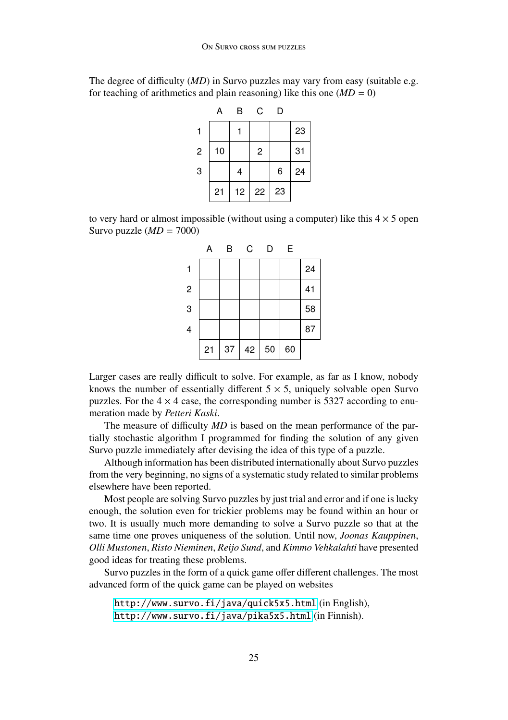The degree of difficulty (*MD*) in Survo puzzles may vary from easy (suitable e.g. for teaching of arithmetics and plain reasoning) like this one  $(MD = 0)$ 

|   | А  | B  | C              | D  |    |
|---|----|----|----------------|----|----|
| 1 |    |    |                |    | 23 |
| 2 | 10 |    | $\overline{c}$ |    | 31 |
| 3 |    | 4  |                | 6  | 24 |
|   | 21 | 12 | 22             | 23 |    |

to very hard or almost impossible (without using a computer) like this  $4 \times 5$  open Survo puzzle (*MD* = 7000)



Larger cases are really difficult to solve. For example, as far as I know, nobody knows the number of essentially different  $5 \times 5$ , uniquely solvable open Survo puzzles. For the  $4 \times 4$  case, the corresponding number is 5327 according to enumeration made by *Petteri Kaski*.

The measure of difficulty *MD* is based on the mean performance of the partially stochastic algorithm I programmed for finding the solution of any given Survo puzzle immediately after devising the idea of this type of a puzzle.

Although information has been distributed internationally about Survo puzzles from the very beginning, no signs of a systematic study related to similar problems elsewhere have been reported.

Most people are solving Survo puzzles by just trial and error and if one is lucky enough, the solution even for trickier problems may be found within an hour or two. It is usually much more demanding to solve a Survo puzzle so that at the same time one proves uniqueness of the solution. Until now, *Joonas Kauppinen*, *Olli Mustonen*, *Risto Nieminen*, *Reijo Sund*, and *Kimmo Vehkalahti* have presented good ideas for treating these problems.

Survo puzzles in the form of a quick game offer different challenges. The most advanced form of the quick game can be played on websites

```
http://www.survo.fi/java/quick5x5.html (in English),
http://www.survo.fi/java/pika5x5.html (in Finnish).
```